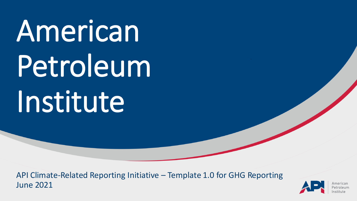American Petroleum Institute

API Climate-Related Reporting Initiative – Template 1.0 for GHG Reporting June 2021

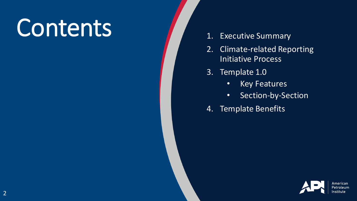# Contents 1. Executive Summary

- 
- 2. Climate-related Reporting Initiative Process
- 3. Template 1.0
	- Key Features
	- Section-by-Section
- 4. Template Benefits

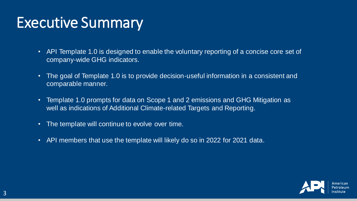#### Executive Summary

- API Template 1.0 is designed to enable the voluntary reporting of a concise core set of company-wide GHG indicators.
- The goal of Template 1.0 is to provide decision-useful information in a consistent and comparable manner.
- Template 1.0 prompts for data on Scope 1 and 2 emissions and GHG Mitigation as well as indications of Additional Climate-related Targets and Reporting.
- The template will continue to evolve over time.
- API members that use the template will likely do so in 2022 for 2021 data.

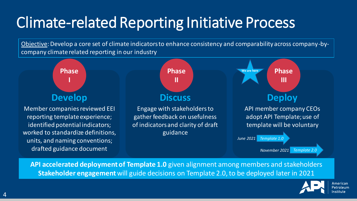## Climate-related Reporting Initiative Process

Objective: Develop a core set of climate indicators to enhance consistency and comparability across company-bycompany climate related reporting in our industry



**API accelerated deployment of Template 1.0** given alignment among members and stakeholders **Stakeholder engagement** will guide decisions on Template 2.0, to be deployed later in 2021

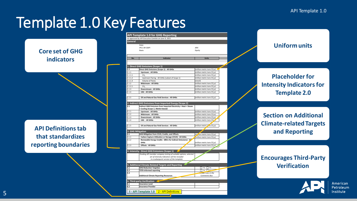#### Template 1.0 Key Features

**Core set of GHG indicators**

**API Definitions tab that standardizes reporting boundaries**

|                | As approved by API Executive Comitte on June 9, 2021             |                                          |
|----------------|------------------------------------------------------------------|------------------------------------------|
| General        |                                                                  |                                          |
|                | Date:                                                            |                                          |
|                | <b>IPCC AR GWP:</b>                                              | AR4                                      |
|                | Basis:                                                           | Equity                                   |
|                |                                                                  |                                          |
| No.            | <b>Indicator</b>                                                 | <b>Units</b>                             |
|                |                                                                  |                                          |
|                | 1. Direct GHG Emissions (Scope 1)                                |                                          |
| $1.1$          | Direct GHG Emissions (Scope 1) - All GHGs                        | (million metric tons CO <sub>2</sub> e)  |
| 1.1.1          | <b>Upstream - All GHGs</b>                                       | (million metric tons CO <sub>2</sub> e)  |
| 1.1.1.1        | CH <sub>4</sub>                                                  | (million metric tons CO <sub>2</sub> e)  |
| 1.1.1.2        | Upstream Flaring - All GHGs (subset of Scope 1)                  | (million metric tons CO <sub>2</sub> e)  |
| 1.1.1.3        | Volume of Flares                                                 | (mmcf)                                   |
| 1.1.2          | Midstream - All GHGs                                             | (million metric tons CO <sub>2</sub> e)  |
| 1.1.2.1        | CH <sub>4</sub>                                                  | (million metric tons CO <sub>2</sub> e)  |
| 1.1.3          | Downstream - All GHGs                                            | (million metric tons CO <sub>2</sub> e)  |
| 1.1.4          | <b>LNG - All GHGs</b>                                            | (million metric tons CO <sub>2</sub> e)  |
|                |                                                                  |                                          |
| 1.1.5          | Oil and Natural Gas Field Services - All GHGs                    | (million metric tons CO <sub>2</sub> e)  |
|                |                                                                  |                                          |
|                | 2. Indirect GHG Emissions from Imported Energy (Scope 2)         |                                          |
| 2.1            | Indirect GHG Emissions from Imported Electricity + Heat + Steam  |                                          |
|                | + Cooling (Scope 2, Market-based)                                |                                          |
| 2.1.1<br>2.1.2 | <b>Upstream - All GHGs</b>                                       | (million metric tons CO <sub>2</sub> e)  |
| 2.1.3          | Midstream - All GHGs<br><b>Downstream - All GHGs</b>             | (million metric tons CO <sub>2</sub> e)  |
| 2.1.4          | LNG - All GHGs                                                   | (million metric tons CO <sub>2</sub> e)  |
|                |                                                                  | (million metric tons CO                  |
| 2.1.5          | Oil and Natural Gas Field Services - All GHGs                    | (million metric * uns CO <sub>2</sub> e) |
|                |                                                                  |                                          |
|                | 3. GHG Mitigation                                                |                                          |
| 3.1            | GHG Mitigation from CCUS, Credits, and Offsets                   | (million metric tons CO <sub>2</sub> e)  |
| 3.1.1          | Carbon Capture Utilization or Storage (CCUS) - All GHGs          | (million metric tons CO <sub>2</sub> e)  |
| 3.1.2          | Renewable Energy Credits - (RECs for Indirect Emissions) - A"    |                                          |
|                | <b>GHGs</b>                                                      | (million metric tons CO <sub>2</sub> e)  |
| 3.1.3          | <b>Offsets - All GHGs</b>                                        | (million metric tons CO <sub>2</sub> e)  |
|                |                                                                  |                                          |
|                | 4. Intensity - Direct GHG Emissions (Scope 1)                    |                                          |
|                | Pending API member company testing of suitable options; selected |                                          |
|                | set of intensity indicators will be included                     |                                          |
|                | in a subsequent version of the template                          |                                          |
|                |                                                                  |                                          |
|                | 5. Additional Climate-Related Targets and Reporting              |                                          |
| 5.1<br>5.2     | <b>GHG Reduction Target(s)</b><br><b>TCFD-informed reporting</b> | Yes No<br>$\Box$ Yes $\Box$ M            |
| 5.3            |                                                                  | <b>Iciude</b> links in the               |
|                | <b>Additional Climate Reporting Resources</b>                    | Comments Box                             |
|                |                                                                  |                                          |
|                | 6. Third-party Verification                                      |                                          |
| 6.1            | <b>Assurance Level</b>                                           |                                          |
|                |                                                                  |                                          |



#### **Placeholder for Intensity Indicators for Template 2.0**

**Section on Additional Climate-related Targets and Reporting**

#### **Encourages Third-Party Verification**



American Petroleum Institute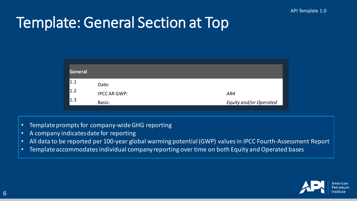#### Template: General Section at Top

| General |                     |                               |
|---------|---------------------|-------------------------------|
| 1.1     | Date:               |                               |
| 1.2     | <b>IPCC AR GWP:</b> | AR4                           |
| 1.3     | Basis:              | <b>Equity and/or Operated</b> |

- Template prompts for company-wide GHG reporting
- A company indicates date for reporting
- All data to be reported per 100-year global warming potential (GWP) values in IPCC Fourth-Assessment Report
- Template accommodates individual company reporting over time on both Equity and Operated bases

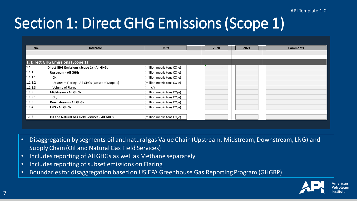#### API Template 1.0

### Section 1: Direct GHG Emissions (Scope 1)

| No.                                                                                    | <b>Indicator</b>                                                                                      | <b>Units</b>                            |  | 2020 | 2021 | <b>Comments</b> |  |
|----------------------------------------------------------------------------------------|-------------------------------------------------------------------------------------------------------|-----------------------------------------|--|------|------|-----------------|--|
|                                                                                        |                                                                                                       |                                         |  |      |      |                 |  |
|                                                                                        | 1. Direct GHG Emissions (Scope 1)                                                                     |                                         |  |      |      |                 |  |
| $\vert 1.1 \vert$                                                                      | Direct GHG Emissions (Scope 1) - All GHGs                                                             | (million metric tons $CO2e$ )           |  |      |      |                 |  |
| 1.1.1                                                                                  | <b>Upstream - All GHGs</b>                                                                            | (million metric tons CO <sub>2</sub> e) |  |      |      |                 |  |
| 1.1.1.1                                                                                | CH <sub>a</sub>                                                                                       | (million metric tons CO <sub>2</sub> e) |  |      |      |                 |  |
| 1.1.1.2                                                                                | Upstream Flaring - All GHGs (subset of Scope 1)                                                       | (million metric tons CO <sub>2</sub> e) |  |      |      |                 |  |
| 1.1.1.3                                                                                | Volume of Flares                                                                                      | (mmcf)                                  |  |      |      |                 |  |
| 1.1.2                                                                                  | <b>Midstream - All GHGs</b>                                                                           | (million metric tons $CO2$ e)           |  |      |      |                 |  |
| 1.1.2.1                                                                                | CH <sub>a</sub>                                                                                       | (million metric tons CO <sub>2</sub> e) |  |      |      |                 |  |
| 1.1.3                                                                                  | Downstream - All GHGs                                                                                 | (million metric tons $CO2e$ )           |  |      |      |                 |  |
| 1.1.4                                                                                  | <b>LNG - All GHGs</b>                                                                                 | (million metric tons $CO2e$ )           |  |      |      |                 |  |
|                                                                                        |                                                                                                       |                                         |  |      |      |                 |  |
| 1.1.5                                                                                  | <b>Oil and Natural Gas Field Services - All GHGs</b>                                                  | (million metric tons $CO2$ e)           |  |      |      |                 |  |
|                                                                                        |                                                                                                       |                                         |  |      |      |                 |  |
|                                                                                        |                                                                                                       |                                         |  |      |      |                 |  |
|                                                                                        |                                                                                                       |                                         |  |      |      |                 |  |
|                                                                                        |                                                                                                       |                                         |  |      |      |                 |  |
|                                                                                        | Disaggregation by segments oil and natural gas Value Chain (Upstream, Midstream, Downstream, LNG) and |                                         |  |      |      |                 |  |
| <b>Supply Chain (Oil and Natural Gas Field Services)</b>                               |                                                                                                       |                                         |  |      |      |                 |  |
|                                                                                        |                                                                                                       |                                         |  |      |      |                 |  |
| $\bullet$                                                                              | Includes reporting of All GHGs as well as Methane separately                                          |                                         |  |      |      |                 |  |
| $\bullet$                                                                              | Includes reporting of subset emissions on Flaring                                                     |                                         |  |      |      |                 |  |
|                                                                                        |                                                                                                       |                                         |  |      |      |                 |  |
| Boundaries for disaggregation based on US EPA Greenhouse Gas Reporting Program (GHGRP) |                                                                                                       |                                         |  |      |      |                 |  |

- Disaggregation by segments oil and natural gas Value Chain (Upstream, Midstream, Downstream, LNG) and Supply Chain (Oil and Natural Gas Field Services)
- Includes reporting of All GHGs as well as Methane separately
- Includes reporting of subset emissions on Flaring
- 

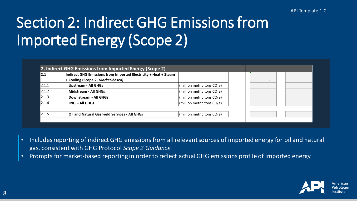# Section 2: Indirect GHG Emissions from Imported Energy (Scope 2)

| 12.1  | Indirect GHG Emissions from Imported Electricity + Heat + Steam |                               |  |  |
|-------|-----------------------------------------------------------------|-------------------------------|--|--|
|       | + Cooling (Scope 2, Market-based)                               |                               |  |  |
| 2.1.1 | <b>Upstream - All GHGs</b>                                      | (million metric tons $CO2e$ ) |  |  |
| 2.1.2 | Midstream - All GHGs                                            | (million metric tons $CO2e$ ) |  |  |
| 2.1.3 | <b>Downstream - All GHGs</b>                                    | (million metric tons $CO2e$ ) |  |  |
| 2.1.4 | LNG - All GHGs                                                  | (million metric tons $CO2e$ ) |  |  |
|       |                                                                 |                               |  |  |
| 2.1.5 | <b>Oil and Natural Gas Field Services - All GHGs</b>            | (million metric tons $CO2e$ ) |  |  |

- Includes reporting of indirect GHG emissions from all relevant sources of imported energy for oil and natural gas, consistent with GHG Protocol *Scope 2 Guidance*
- Prompts for market-based reporting in order to reflect actual GHG emissions profile of imported energy

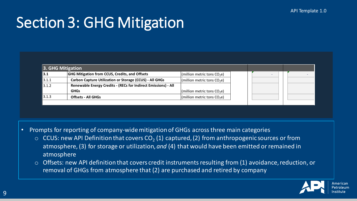#### Section 3: GHG Mitigation

|       | 3. GHG Mitigation                                              |                               |  |  |  |
|-------|----------------------------------------------------------------|-------------------------------|--|--|--|
| 3.1   | <b>GHG Mitigation from CCUS, Credits, and Offsets</b>          | (million metric tons $CO2e$ ) |  |  |  |
| 3.1.1 | <b>Carbon Capture Utilization or Storage (CCUS) - All GHGs</b> | (million metric tons $CO2e$ ) |  |  |  |
| 3.1.2 | Renewable Energy Credits - (RECs for Indirect Emissions) - All |                               |  |  |  |
|       | <b>GHGs</b>                                                    | (million metric tons $CO2e$ ) |  |  |  |
| 3.1.3 | <b>Offsets - All GHGs</b>                                      | (million metric tons $CO2e$ ) |  |  |  |
|       |                                                                |                               |  |  |  |

- Prompts for reporting of company-wide mitigation of GHGs across three main categories
	- $\circ$  CCUS: new API Definition that covers CO<sub>2</sub> (1) captured, (2) from anthropogenic sources or from atmosphere, (3) for storage or utilization, *and* (4) that would have been emitted or remained in atmosphere
	- $\circ$  Offsets: new API definition that covers credit instruments resulting from (1) avoidance, reduction, or removal of GHGs from atmosphere that (2) are purchased and retired by company

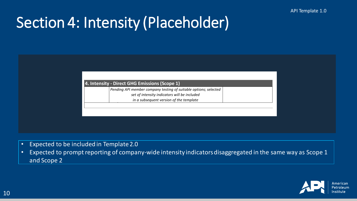### Section 4: Intensity (Placeholder)

| 4. Intensity - Direct GHG Emissions (Scope 1) |  |
|-----------------------------------------------|--|
|-----------------------------------------------|--|

*Pending API member company testing of suitable options; selected* 

*set of intensity indicators will be included*

*in a subsequent version of the template*

- Expected to be included in Template 2.0
- Expected to prompt reporting of company-wide intensity indicators disaggregated in the same way as Scope 1 and Scope 2

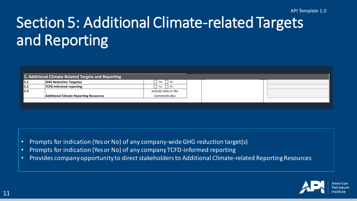# Section 5: Additional Climate-related Targets and Reporting

|      | 5. Additional Climate-Related Targets and Reporting |                      |  |  |
|------|-----------------------------------------------------|----------------------|--|--|
| 15.1 | <b>GHG Reduction Target(s)</b>                      | $\Box$ Yes $\Box$ No |  |  |
| 5.2  | <b>TCFD-informed reporting</b>                      | $\Box$ Yes $\Box$ No |  |  |
| 15.3 |                                                     | Include links in the |  |  |
|      | <b>Additional Climate Reporting Resources</b>       | Comments Box         |  |  |
|      |                                                     |                      |  |  |

- Prompts for indication (Yes or No) of any company-wide GHG reduction target(s)
- Prompts for indication (Yes or No) of any company TCFD-informed reporting
- Provides company opportunity to direct stakeholders to Additional Climate-related Reporting Resources

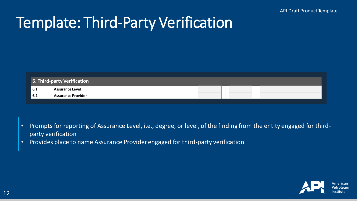#### Template: Third-Party Verification

|                    | <b>6. Third-party Verification</b> |  |  |  |
|--------------------|------------------------------------|--|--|--|
| $\blacksquare$ 6.1 | <b>Assurance Level</b>             |  |  |  |
| <b>16.2</b>        | <b>Assurance Provider</b>          |  |  |  |

- Prompts for reporting of Assurance Level, i.e., degree, or level, of the finding from the entity engaged for thirdparty verification
- Provides place to name Assurance Provider engaged for third-party verification

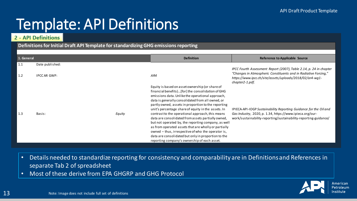#### Template: API Definitions

#### **2 - API Definitions**

#### **Definitions for Initial Draft API Template for standardizing GHG emissions reporting**

| 1. General |                    |        | <b>Definition</b>                                                                                                                                                                                                                                                                                                                                                                                                                         | <b>Reference to Applicable Source</b>                                                                                                                                                             |
|------------|--------------------|--------|-------------------------------------------------------------------------------------------------------------------------------------------------------------------------------------------------------------------------------------------------------------------------------------------------------------------------------------------------------------------------------------------------------------------------------------------|---------------------------------------------------------------------------------------------------------------------------------------------------------------------------------------------------|
| 1.1        | Date published:    |        |                                                                                                                                                                                                                                                                                                                                                                                                                                           | IPCC Fourth Assessment Report (2007), Table 2.14, p. 24 in chapter                                                                                                                                |
| 1.2        | <b>IPCCAR GWP:</b> |        | AR4                                                                                                                                                                                                                                                                                                                                                                                                                                       | "Changes in Atmospheric Constituents and in Radiative Forcing,"<br>https://www.ipcc.ch/site/assets/uploads/2018/02/ar4-wg1-<br>chapter2-1.pdf.                                                    |
|            |                    |        | Equity is based on asset ownership (or share of<br>financial benefits)[for] the consolidation of GHG<br>emissions data. Unlike the operational approach,<br>data is generally consolidated from all owned, or<br>partly owned, assets in proportion to the reporting                                                                                                                                                                      |                                                                                                                                                                                                   |
| 1.3        | Basis:             | Equity | unit's percentage share of equity in the assets. In<br>contrast to the operational approach, this means<br>data are consolidated from assets partially owned,<br>but not operated by, the reporting company, as well<br>as from operated assets that are wholly or partially<br>owned - thus, irrespective of who the operator is,<br>data are consolidated but only in proportion to the<br>reporting company's ownership of each asset. | IPIECA-API-IOGP Sustainability Reporting Guidance for the Oil and<br>Gas Industry, 2020, p. 1.34, https://www.ipieca.org/our-<br>work/sustainability-reporting/sustainability-reporting-guidance/ |

- Details needed to standardize reporting for consistency and comparability are in Definitions and References in separate Tab 2 of spreadsheet
- Most of these derive from EPA GHGRP and GHG Protocol

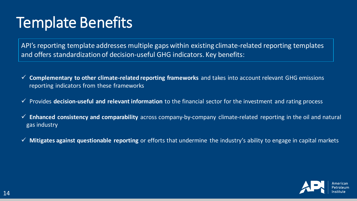### Template Benefits

API's reporting template addresses multiple gaps within existing climate-related reporting templates and offers standardization of decision-useful GHG indicators. Key benefits:

- ✓ **Complementary to other climate-related reporting frameworks** and takes into account relevant GHG emissions reporting indicators from these frameworks
- ✓ Provides **decision-useful and relevant information** to the financial sector for the investment and rating process
- ✓ **Enhanced consistency and comparability** across company-by-company climate-related reporting in the oil and natural gas industry
- ✓ **Mitigates against questionable reporting** or efforts that undermine the industry's ability to engage in capital markets